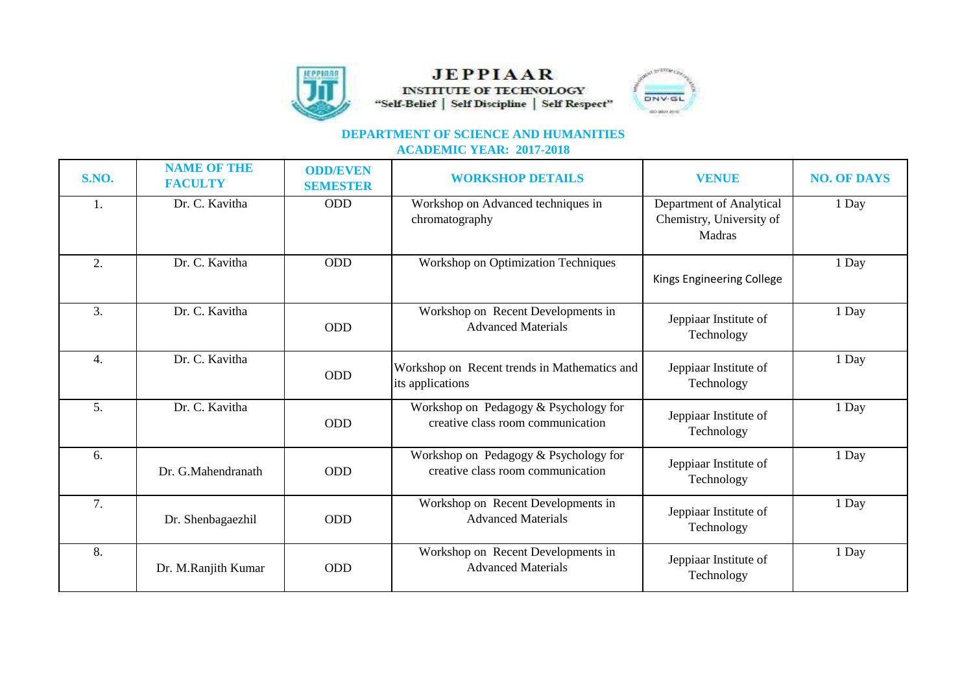

## **JEPPIAAR INSTITUTE OF TECHNOLOGY** "Self-Belief | Self Discipline | Self Respect"



## **DEPARTMENT OF SCIENCE AND HUMANITIES ACADEMIC YEAR: 2017-2018**

| <b>S.NO.</b>     | <b>NAME OF THE</b><br><b>FACULTY</b> | <b>ODD/EVEN</b><br><b>SEMESTER</b> | <b>WORKSHOP DETAILS</b>                                                    | <b>VENUE</b>                                                   | <b>NO. OF DAYS</b> |
|------------------|--------------------------------------|------------------------------------|----------------------------------------------------------------------------|----------------------------------------------------------------|--------------------|
| 1.               | Dr. C. Kavitha                       | <b>ODD</b>                         | Workshop on Advanced techniques in<br>chromatography                       | Department of Analytical<br>Chemistry, University of<br>Madras | 1 Day              |
| 2.               | Dr. C. Kavitha                       | ODD                                | Workshop on Optimization Techniques                                        | Kings Engineering College                                      | 1 Day              |
| 3.               | Dr. C. Kavitha                       | <b>ODD</b>                         | Workshop on Recent Developments in<br><b>Advanced Materials</b>            | Jeppiaar Institute of<br>Technology                            | 1 Day              |
| $\overline{4}$ . | Dr. C. Kavitha                       | <b>ODD</b>                         | Workshop on Recent trends in Mathematics and<br>its applications           | Jeppiaar Institute of<br>Technology                            | 1 Day              |
| 5.               | Dr. C. Kavitha                       | <b>ODD</b>                         | Workshop on Pedagogy & Psychology for<br>creative class room communication | Jeppiaar Institute of<br>Technology                            | 1 Day              |
| 6.               | Dr. G.Mahendranath                   | <b>ODD</b>                         | Workshop on Pedagogy & Psychology for<br>creative class room communication | Jeppiaar Institute of<br>Technology                            | 1 Day              |
| 7.               | Dr. Shenbagaezhil                    | <b>ODD</b>                         | Workshop on Recent Developments in<br><b>Advanced Materials</b>            | Jeppiaar Institute of<br>Technology                            | 1 Day              |
| 8.               | Dr. M.Ranjith Kumar                  | <b>ODD</b>                         | Workshop on Recent Developments in<br><b>Advanced Materials</b>            | Jeppiaar Institute of<br>Technology                            | 1 Day              |